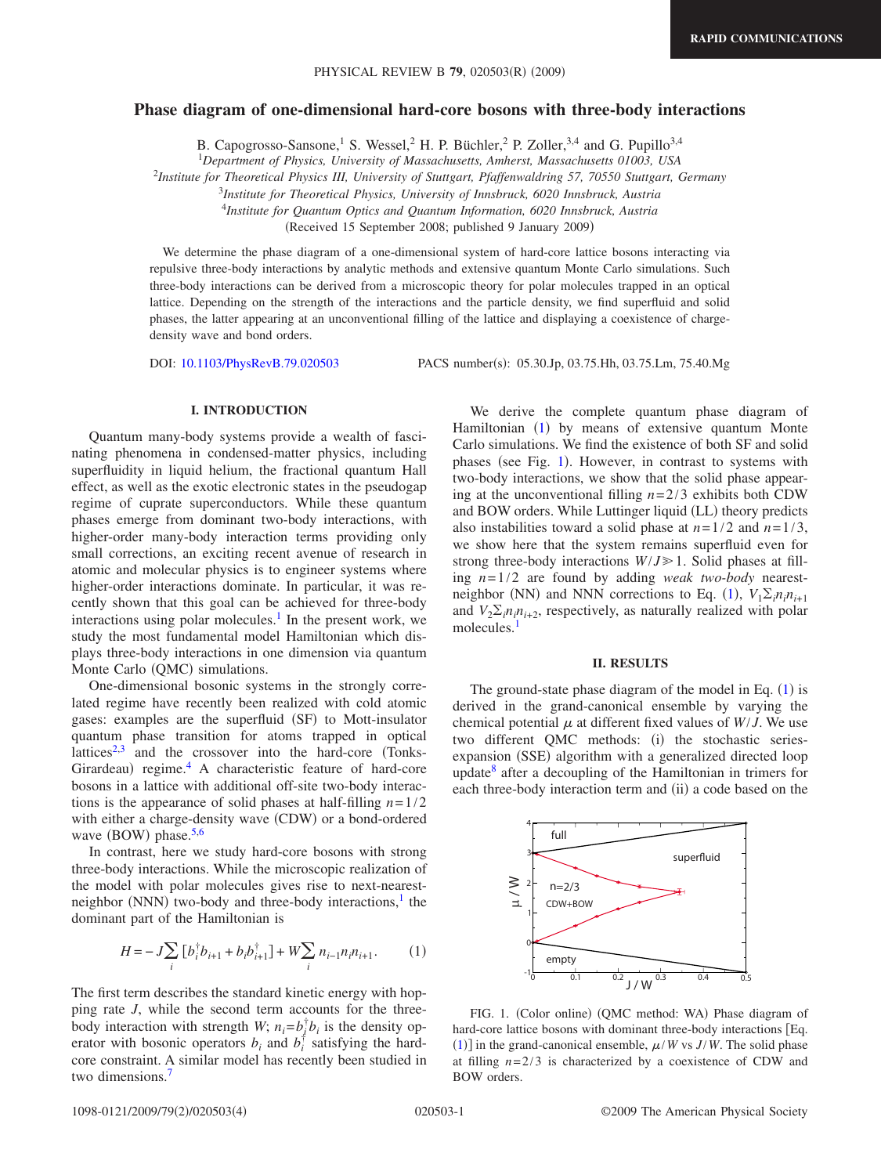# **Phase diagram of one-dimensional hard-core bosons with three-body interactions**

B. Capogrosso-Sansone,<sup>1</sup> S. Wessel,<sup>2</sup> H. P. Büchler,<sup>2</sup> P. Zoller,<sup>3,4</sup> and G. Pupillo<sup>3,4</sup>

1 *Department of Physics, University of Massachusetts, Amherst, Massachusetts 01003, USA*

2 *Institute for Theoretical Physics III, University of Stuttgart, Pfaffenwaldring 57, 70550 Stuttgart, Germany*

<sup>3</sup>*Institute for Theoretical Physics, University of Innsbruck, 6020 Innsbruck, Austria*

<sup>4</sup>*Institute for Quantum Optics and Quantum Information, 6020 Innsbruck, Austria*

(Received 15 September 2008; published 9 January 2009)

We determine the phase diagram of a one-dimensional system of hard-core lattice bosons interacting via repulsive three-body interactions by analytic methods and extensive quantum Monte Carlo simulations. Such three-body interactions can be derived from a microscopic theory for polar molecules trapped in an optical lattice. Depending on the strength of the interactions and the particle density, we find superfluid and solid phases, the latter appearing at an unconventional filling of the lattice and displaying a coexistence of chargedensity wave and bond orders.

DOI: [10.1103/PhysRevB.79.020503](http://dx.doi.org/10.1103/PhysRevB.79.020503)

PACS number(s): 05.30.Jp, 03.75.Hh, 03.75.Lm, 75.40.Mg

## **I. INTRODUCTION**

Quantum many-body systems provide a wealth of fascinating phenomena in condensed-matter physics, including superfluidity in liquid helium, the fractional quantum Hall effect, as well as the exotic electronic states in the pseudogap regime of cuprate superconductors. While these quantum phases emerge from dominant two-body interactions, with higher-order many-body interaction terms providing only small corrections, an exciting recent avenue of research in atomic and molecular physics is to engineer systems where higher-order interactions dominate. In particular, it was recently shown that this goal can be achieved for three-body interactions using polar molecules.<sup>1</sup> In the present work, we study the most fundamental model Hamiltonian which displays three-body interactions in one dimension via quantum Monte Carlo (QMC) simulations.

One-dimensional bosonic systems in the strongly correlated regime have recently been realized with cold atomic gases: examples are the superfluid (SF) to Mott-insulator quantum phase transition for atoms trapped in optical lattices $2,3$  $2,3$  and the crossover into the hard-core (Tonks-Girardeau) regime.<sup>4</sup> A characteristic feature of hard-core bosons in a lattice with additional off-site two-body interactions is the appearance of solid phases at half-filling *n*=1/2 with either a charge-density wave (CDW) or a bond-ordered wave  $($ BOW $)$  phase.<sup>5,[6](#page-3-5)</sup>

In contrast, here we study hard-core bosons with strong three-body interactions. While the microscopic realization of the model with polar molecules gives rise to next-nearestneighbor (NNN) two-body and three-body interactions,<sup>1</sup> the dominant part of the Hamiltonian is

$$
H = -J\sum_{i} \left[ b_i^{\dagger} b_{i+1} + b_i b_{i+1}^{\dagger} \right] + W\sum_{i} n_{i-1} n_i n_{i+1}.
$$
 (1)

<span id="page-0-0"></span>The first term describes the standard kinetic energy with hopping rate *J*, while the second term accounts for the threebody interaction with strength *W*;  $n_i = b_j^{\dagger} b_i$  is the density operator with bosonic operators  $b_i$  and  $b_i^{\dagger}$  satisfying the hardcore constraint. A similar model has recently been studied in two dimensions.<sup>7</sup>

We derive the complete quantum phase diagram of Hamiltonian ([1](#page-0-0)) by means of extensive quantum Monte Carlo simulations. We find the existence of both SF and solid phases (see Fig. [1](#page-0-1)). However, in contrast to systems with two-body interactions, we show that the solid phase appearing at the unconventional filling  $n=2/3$  exhibits both CDW and BOW orders. While Luttinger liquid (LL) theory predicts also instabilities toward a solid phase at  $n=1/2$  and  $n=1/3$ , we show here that the system remains superfluid even for strong three-body interactions  $W/J \ge 1$ . Solid phases at filling *n*=1/2 are found by adding *weak two-body* nearest-neighbor (NN) and NNN corrections to Eq. ([1](#page-0-0)),  $V_1 \Sigma_i n_i n_{i+1}$ and  $V_2 \sum_i n_i n_{i+2}$ , respectively, as naturally realized with polar molecules.<sup>1</sup>

## **II. RESULTS**

The ground-state phase diagram of the model in Eq.  $(1)$  $(1)$  $(1)$  is derived in the grand-canonical ensemble by varying the chemical potential  $\mu$  at different fixed values of  $W/J$ . We use two different QMC methods: (i) the stochastic seriesexpansion (SSE) algorithm with a generalized directed loop update $\delta$  after a decoupling of the Hamiltonian in trimers for each three-body interaction term and (ii) a code based on the

<span id="page-0-1"></span>

FIG. 1. (Color online) (QMC method: WA) Phase diagram of hard-core lattice bosons with dominant three-body interactions [Eq.  $(1)$  $(1)$  $(1)$ ] in the grand-canonical ensemble,  $\mu$ /*W* vs *J*/*W*. The solid phase at filling  $n=2/3$  is characterized by a coexistence of CDW and BOW orders.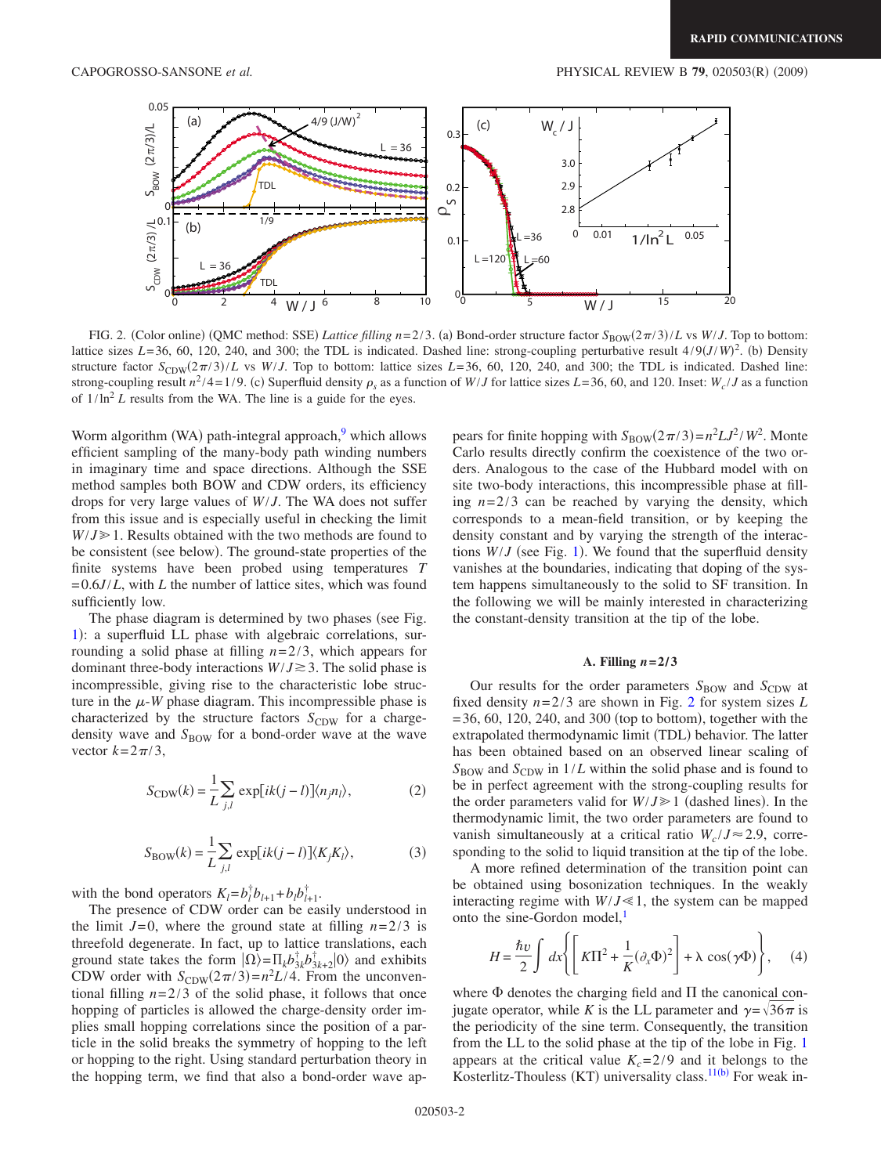<span id="page-1-0"></span>

FIG. 2. (Color online) (QMC method: SSE) *Lattice filling n*=2/3. (a) Bond-order structure factor  $S_{\text{BOW}}(2\pi/3)/L$  vs *W*/*J*. Top to bottom: lattice sizes  $L=36$ , 60, 120, 240, and 300; the TDL is indicated. Dashed line: strong-coupling perturbative result  $4/9(J/W)^2$ . (b) Density structure factor  $S_{CDW}(2\pi/3)/L$  vs *W/J*. Top to bottom: lattice sizes  $L=36, 60, 120, 240,$  and 300; the TDL is indicated. Dashed line: strong-coupling result  $n^2/4 = 1/9$ . (c) Superfluid density  $\rho_s$  as a function of *W*/*J* for lattice sizes *L*=36, 60, and 120. Inset: *W<sub>c</sub>*/*J* as a function of  $1/\ln^2 L$  results from the WA. The line is a guide for the eyes.

Worm algorithm (WA) path-integral approach,<sup>9</sup> which allows efficient sampling of the many-body path winding numbers in imaginary time and space directions. Although the SSE method samples both BOW and CDW orders, its efficiency drops for very large values of *W*/*J*. The WA does not suffer from this issue and is especially useful in checking the limit  $W/J \ge 1$ . Results obtained with the two methods are found to be consistent (see below). The ground-state properties of the finite systems have been probed using temperatures *T* =0.6*J*/*L*, with *L* the number of lattice sites, which was found sufficiently low.

The phase diagram is determined by two phases (see Fig. [1](#page-0-1)): a superfluid LL phase with algebraic correlations, surrounding a solid phase at filling *n*=2/3, which appears for dominant three-body interactions  $W/J \ge 3$ . The solid phase is incompressible, giving rise to the characteristic lobe structure in the  $\mu$ -*W* phase diagram. This incompressible phase is characterized by the structure factors  $S_{CDW}$  for a chargedensity wave and S<sub>BOW</sub> for a bond-order wave at the wave vector  $k=2\pi/3$ ,

$$
S_{\text{CDW}}(k) = \frac{1}{L} \sum_{j,l} \exp[ik(j-l)] \langle n_j n_l \rangle, \tag{2}
$$

$$
S_{\text{BOW}}(k) = \frac{1}{L} \sum_{j,l} \exp[ik(j-l)] \langle K_j K_l \rangle,\tag{3}
$$

with the bond operators  $K_l = b_l^{\dagger} b_{l+1} + b_l b_{l+1}^{\dagger}$ .

The presence of CDW order can be easily understood in the limit  $J=0$ , where the ground state at filling  $n=2/3$  is threefold degenerate. In fact, up to lattice translations, each ground state takes the form  $|\Omega\rangle = \prod_k b_{3k}^\dagger b_{3k+2}^\dagger |0\rangle$  and exhibits CDW order with  $S_{CDW}(2\pi/3) = n^2L/4$ . From the unconventional filling  $n=2/3$  of the solid phase, it follows that once hopping of particles is allowed the charge-density order implies small hopping correlations since the position of a particle in the solid breaks the symmetry of hopping to the left or hopping to the right. Using standard perturbation theory in the hopping term, we find that also a bond-order wave ap-

pears for finite hopping with  $S_{\text{BOW}}(2\pi/3) = n^2 L J^2 / W^2$ . Monte Carlo results directly confirm the coexistence of the two orders. Analogous to the case of the Hubbard model with on site two-body interactions, this incompressible phase at filling  $n=2/3$  can be reached by varying the density, which corresponds to a mean-field transition, or by keeping the density constant and by varying the strength of the interactions  $W/J$  (see Fig. [1](#page-0-1)). We found that the superfluid density vanishes at the boundaries, indicating that doping of the system happens simultaneously to the solid to SF transition. In the following we will be mainly interested in characterizing the constant-density transition at the tip of the lobe.

## A. Filling  $n = 2/3$

Our results for the order parameters  $S_{\text{BOW}}$  and  $S_{\text{CDW}}$  at fixed density *n*=2/3 are shown in Fig. [2](#page-1-0) for system sizes *L*  $=$  36, 60, 120, 240, and 300 (top to bottom), together with the extrapolated thermodynamic limit (TDL) behavior. The latter has been obtained based on an observed linear scaling of  $S_{\text{BOW}}$  and  $S_{\text{CDW}}$  in  $1/L$  within the solid phase and is found to be in perfect agreement with the strong-coupling results for the order parameters valid for  $W/J \ge 1$  (dashed lines). In the thermodynamic limit, the two order parameters are found to vanish simultaneously at a critical ratio  $W_c / J \approx 2.9$ , corresponding to the solid to liquid transition at the tip of the lobe.

A more refined determination of the transition point can be obtained using bosonization techniques. In the weakly interacting regime with  $W/J \ll 1$ , the system can be mapped onto the sine-Gordon model, $<sup>1</sup>$ </sup>

$$
H = \frac{\hbar v}{2} \int dx \left\{ \left[ K \Pi^2 + \frac{1}{K} (\partial_x \Phi)^2 \right] + \lambda \cos(\gamma \Phi) \right\}, \quad (4)
$$

where  $\Phi$  denotes the charging field and  $\Pi$  the canonical conjugate operator, while *K* is the LL parameter and  $\gamma = \sqrt{36\pi}$  is the periodicity of the sine term. Consequently, the transition from the LL to the solid phase at the tip of the lobe in Fig. [1](#page-0-1) appears at the critical value  $K_c = 2/9$  and it belongs to the Kosterlitz-Thouless (KT) universality class.  $11(b)$  For weak in-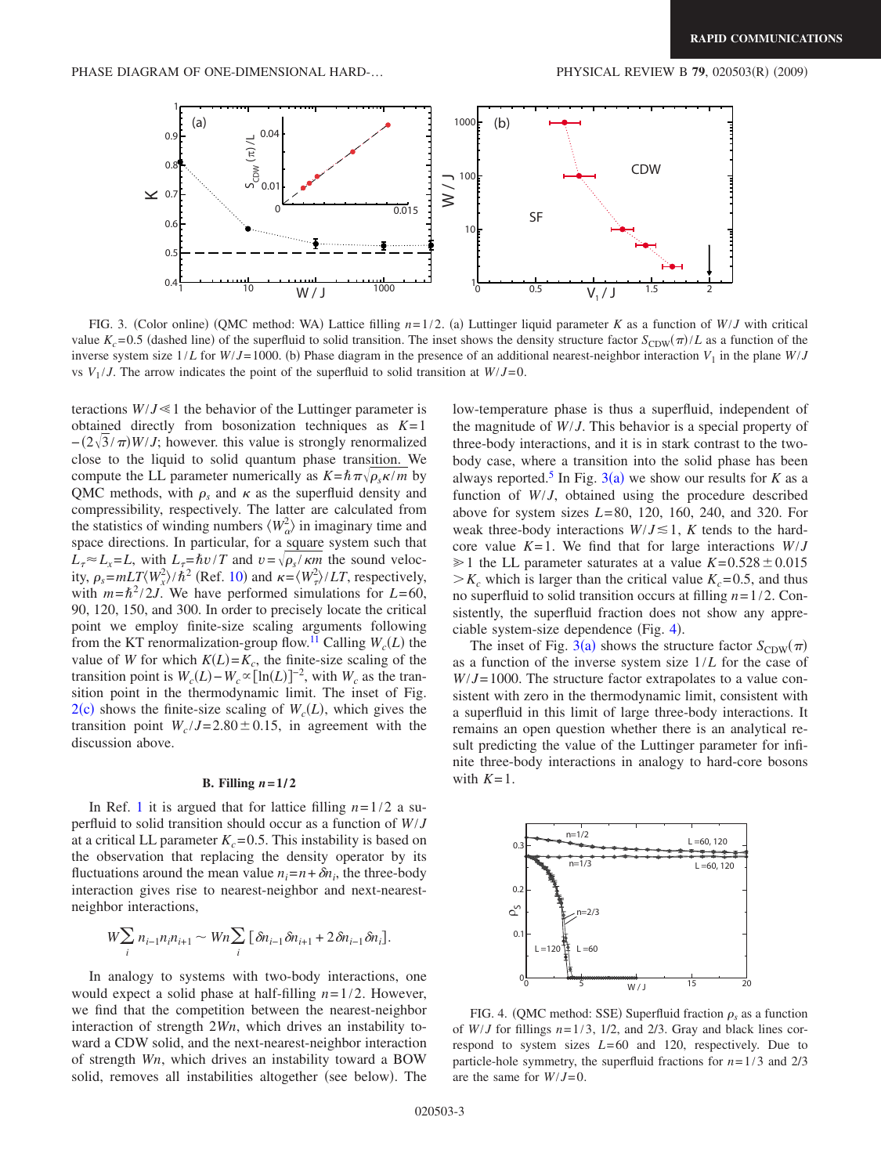<span id="page-2-0"></span>

FIG. 3. (Color online) (QMC method: WA) Lattice filling  $n=1/2$ . (a) Luttinger liquid parameter *K* as a function of *W*/*J* with critical value  $K_c$ =0.5 (dashed line) of the superfluid to solid transition. The inset shows the density structure factor  $S_{CDW}(\pi)/L$  as a function of the inverse system size  $1/L$  for  $W/J = 1000$ . (b) Phase diagram in the presence of an additional nearest-neighbor interaction  $V_1$  in the plane  $W/J$ vs  $V_1/J$ . The arrow indicates the point of the superfluid to solid transition at  $W/J=0$ .

teractions  $W/J \ll 1$  the behavior of the Luttinger parameter is obtained directly from bosonization techniques as *K*=1  $-(2\sqrt{3}/\pi)W/J$ ; however. this value is strongly renormalized close to the liquid to solid quantum phase transition. We compute the LL parameter numerically as  $K = \hbar \pi \sqrt{\rho_s \kappa / m}$  by QMC methods, with  $\rho_s$  and  $\kappa$  as the superfluid density and compressibility, respectively. The latter are calculated from the statistics of winding numbers  $\langle W_{\alpha}^2 \rangle$  in imaginary time and space directions. In particular, for a square system such that  $L_r \approx L_x = L$ , with  $L_r = \hbar v / T$  and  $v = \sqrt{\rho_s / \kappa m}$  the sound velocity,  $\rho_s = mLT \langle W_x^2 \rangle / \hbar^2$  (Ref. [10](#page-3-10)) and  $\kappa = \langle W_x^2 \rangle / LT$ , respectively, with  $m=\hbar^2/2J$ . We have performed simulations for  $L=60$ , 90, 120, 150, and 300. In order to precisely locate the critical point we employ finite-size scaling arguments following from the KT renormalization-group flow.<sup>11</sup> Calling  $W_c(L)$  the value of *W* for which  $K(L) = K_c$ , the finite-size scaling of the transition point is  $W_c(L) - W_c \propto [\ln(L)]^{-2}$ , with  $W_c$  as the transition point in the thermodynamic limit. The inset of Fig.  $2(c)$  $2(c)$  shows the finite-size scaling of  $W_c(L)$ , which gives the transition point  $W_c / J = 2.80 \pm 0.15$ , in agreement with the discussion above.

#### **B.** Filling  $n = 1/2$

In Ref. [1](#page-3-0) it is argued that for lattice filling  $n=1/2$  a superfluid to solid transition should occur as a function of *W*/*J* at a critical LL parameter  $K_c = 0.5$ . This instability is based on the observation that replacing the density operator by its fluctuations around the mean value  $n_i = n + \delta n_i$ , the three-body interaction gives rise to nearest-neighbor and next-nearestneighbor interactions,

$$
W \sum_{i} n_{i-1} n_i n_{i+1} \sim Wn \sum_{i} \left[ \delta n_{i-1} \delta n_{i+1} + 2 \delta n_{i-1} \delta n_i \right].
$$

In analogy to systems with two-body interactions, one would expect a solid phase at half-filling *n*=1/2. However, we find that the competition between the nearest-neighbor interaction of strength 2*Wn*, which drives an instability toward a CDW solid, and the next-nearest-neighbor interaction of strength *Wn*, which drives an instability toward a BOW solid, removes all instabilities altogether (see below). The

low-temperature phase is thus a superfluid, independent of the magnitude of *W*/*J*. This behavior is a special property of three-body interactions, and it is in stark contrast to the twobody case, where a transition into the solid phase has been always reported.<sup>5</sup> In Fig. [3](#page-2-0)(a) we show our results for *K* as a function of *W*/*J*, obtained using the procedure described above for system sizes *L*=80, 120, 160, 240, and 320. For weak three-body interactions  $W/J \le 1$ , *K* tends to the hardcore value *K*=1. We find that for large interactions *W*/*J*  $\geq 1$  the LL parameter saturates at a value  $K=0.528\pm0.015$  $>K_c$  which is larger than the critical value  $K_c$ =0.5, and thus no superfluid to solid transition occurs at filling *n*=1/2. Consistently, the superfluid fraction does not show any appre-ciable system-size dependence (Fig. [4](#page-2-1)).

The inset of Fig. [3](#page-2-0)(a) shows the structure factor  $S_{CDW}(\pi)$ as a function of the inverse system size 1/*L* for the case of *W*/*J*=1000. The structure factor extrapolates to a value consistent with zero in the thermodynamic limit, consistent with a superfluid in this limit of large three-body interactions. It remains an open question whether there is an analytical result predicting the value of the Luttinger parameter for infinite three-body interactions in analogy to hard-core bosons with  $K=1$ .

<span id="page-2-1"></span>

FIG. 4. (QMC method: SSE) Superfluid fraction  $\rho_s$  as a function of  $W/J$  for fillings  $n=1/3$ ,  $1/2$ , and  $2/3$ . Gray and black lines correspond to system sizes *L*=60 and 120, respectively. Due to particle-hole symmetry, the superfluid fractions for  $n=1/3$  and  $2/3$ are the same for *W*/*J*=0.